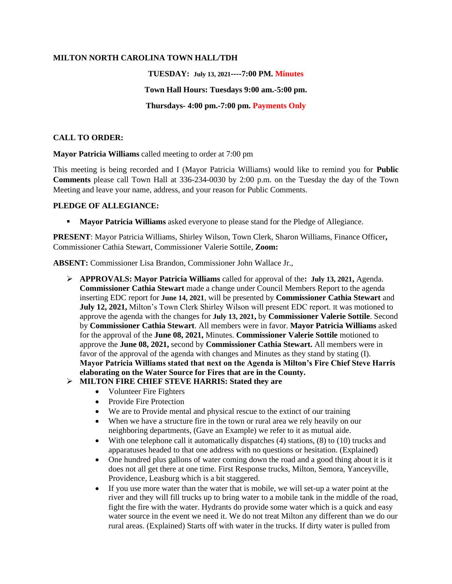#### **MILTON NORTH CAROLINA TOWN HALL/TDH**

# **TUESDAY: July 13, 2021----7:00 PM. Minutes Town Hall Hours: Tuesdays 9:00 am.-5:00 pm. Thursdays- 4:00 pm.-7:00 pm. Payments Only**

### **CALL TO ORDER:**

**Mayor Patricia Williams** called meeting to order at 7:00 pm

This meeting is being recorded and I (Mayor Patricia Williams) would like to remind you for **Public Comments** please call Town Hall at 336-234-0030 by 2:00 p.m. on the Tuesday the day of the Town Meeting and leave your name, address, and your reason for Public Comments.

#### **PLEDGE OF ALLEGIANCE:**

**• Mayor Patricia Williams** asked everyone to please stand for the Pledge of Allegiance.

**PRESENT**: Mayor Patricia Williams, Shirley Wilson, Town Clerk, Sharon Williams, Finance Officer**,**  Commissioner Cathia Stewart, Commissioner Valerie Sottile, **Zoom:**

**ABSENT:** Commissioner Lisa Brandon, Commissioner John Wallace Jr.,

➢ **APPROVALS: Mayor Patricia Williams** called for approval of the**: July 13, 2021,** Agenda. **Commissioner Cathia Stewart** made a change under Council Members Report to the agenda inserting EDC report for **June 14, 2021**, will be presented by **Commissioner Cathia Stewart** and **July 12, 2021,** Milton's Town Clerk Shirley Wilson will present EDC report. It was motioned to approve the agenda with the changes for **July 13, 2021,** by **Commissioner Valerie Sottile**. Second by **Commissioner Cathia Stewart**. All members were in favor. **Mayor Patricia Williams** asked for the approval of the **June 08, 2021,** Minutes. **Commissioner Valerie Sottile** motioned to approve the **June 08, 2021,** second by **Commissioner Cathia Stewart.** All members were in favor of the approval of the agenda with changes and Minutes as they stand by stating (I). **Mayor Patricia Williams stated that next on the Agenda is Milton's Fire Chief Steve Harris elaborating on the Water Source for Fires that are in the County.**

### ➢ **MILTON FIRE CHIEF STEVE HARRIS: Stated they are**

- Volunteer Fire Fighters
- Provide Fire Protection
- We are to Provide mental and physical rescue to the extinct of our training
- When we have a structure fire in the town or rural area we rely heavily on our neighboring departments, (Gave an Example) we refer to it as mutual aide.
- With one telephone call it automatically dispatches (4) stations, (8) to (10) trucks and apparatuses headed to that one address with no questions or hesitation. (Explained)
- One hundred plus gallons of water coming down the road and a good thing about it is it does not all get there at one time. First Response trucks, Milton, Semora, Yanceyville, Providence, Leasburg which is a bit staggered.
- If you use more water than the water that is mobile, we will set-up a water point at the river and they will fill trucks up to bring water to a mobile tank in the middle of the road, fight the fire with the water. Hydrants do provide some water which is a quick and easy water source in the event we need it. We do not treat Milton any different than we do our rural areas. (Explained) Starts off with water in the trucks. If dirty water is pulled from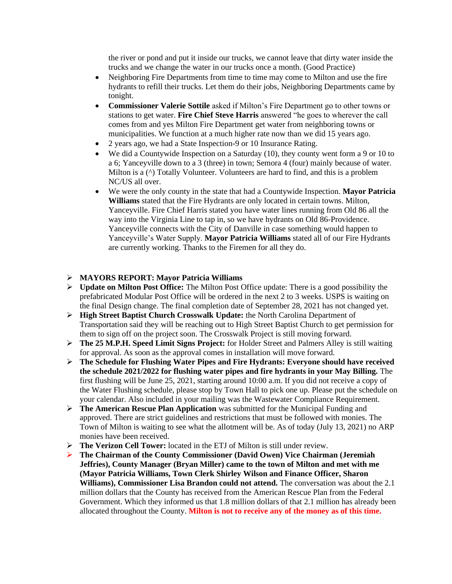the river or pond and put it inside our trucks, we cannot leave that dirty water inside the trucks and we change the water in our trucks once a month. (Good Practice)

- Neighboring Fire Departments from time to time may come to Milton and use the fire hydrants to refill their trucks. Let them do their jobs, Neighboring Departments came by tonight.
- **Commissioner Valerie Sottile** asked if Milton's Fire Department go to other towns or stations to get water. **Fire Chief Steve Harris** answered "he goes to wherever the call comes from and yes Milton Fire Department get water from neighboring towns or municipalities. We function at a much higher rate now than we did 15 years ago.
- 2 years ago, we had a State Inspection-9 or 10 Insurance Rating.
- We did a Countywide Inspection on a Saturday  $(10)$ , they county went form a 9 or 10 to a 6; Yanceyville down to a 3 (three) in town; Semora 4 (four) mainly because of water. Milton is a  $(^{\wedge})$  Totally Volunteer. Volunteers are hard to find, and this is a problem NC/US all over.
- We were the only county in the state that had a Countywide Inspection. **Mayor Patricia Williams** stated that the Fire Hydrants are only located in certain towns. Milton, Yanceyville. Fire Chief Harris stated you have water lines running from Old 86 all the way into the Virginia Line to tap in, so we have hydrants on Old 86-Providence. Yanceyville connects with the City of Danville in case something would happen to Yanceyville's Water Supply. **Mayor Patricia Williams** stated all of our Fire Hydrants are currently working. Thanks to the Firemen for all they do.

#### ➢ **MAYORS REPORT: Mayor Patricia Williams**

- ➢ **Update on Milton Post Office:** The Milton Post Office update: There is a good possibility the prefabricated Modular Post Office will be ordered in the next 2 to 3 weeks. USPS is waiting on the final Design change. The final completion date of September 28, 2021 has not changed yet.
- ➢ **High Street Baptist Church Crosswalk Update:** the North Carolina Department of Transportation said they will be reaching out to High Street Baptist Church to get permission for them to sign off on the project soon. The Crosswalk Project is still moving forward.
- ➢ **The 25 M.P.H. Speed Limit Signs Project:** for Holder Street and Palmers Alley is still waiting for approval. As soon as the approval comes in installation will move forward.
- ➢ **The Schedule for Flushing Water Pipes and Fire Hydrants: Everyone should have received the schedule 2021/2022 for flushing water pipes and fire hydrants in your May Billing.** The first flushing will be June 25, 2021, starting around 10:00 a.m. If you did not receive a copy of the Water Flushing schedule, please stop by Town Hall to pick one up. Please put the schedule on your calendar. Also included in your mailing was the Wastewater Compliance Requirement.
- ➢ **The American Rescue Plan Application** was submitted for the Municipal Funding and approved. There are strict guidelines and restrictions that must be followed with monies. The Town of Milton is waiting to see what the allotment will be. As of today (July 13, 2021) no ARP monies have been received.
- ➢ **The Verizon Cell Tower:** located in the ETJ of Milton is still under review.
- ➢ **The Chairman of the County Commissioner (David Owen) Vice Chairman (Jeremiah Jeffries), County Manager (Bryan Miller) came to the town of Milton and met with me (Mayor Patricia Williams, Town Clerk Shirley Wilson and Finance Officer, Sharon Williams), Commissioner Lisa Brandon could not attend.** The conversation was about the 2.1 million dollars that the County has received from the American Rescue Plan from the Federal Government. Which they informed us that 1.8 million dollars of that 2.1 million has already been allocated throughout the County. **Milton is not to receive any of the money as of this time.**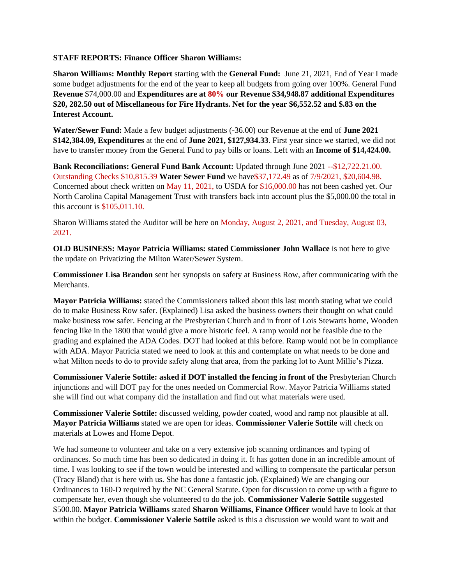#### **STAFF REPORTS: Finance Officer Sharon Williams:**

**Sharon Williams: Monthly Report** starting with the **General Fund:** June 21, 2021, End of Year I made some budget adjustments for the end of the year to keep all budgets from going over 100%. General Fund **Revenue** \$74,000.00 and **Expenditures are at 80% our Revenue \$34,948.87 additional Expenditures \$20, 282.50 out of Miscellaneous for Fire Hydrants. Net for the year \$6,552.52 and \$.83 on the Interest Account.** 

**Water/Sewer Fund:** Made a few budget adjustments (-36.00) our Revenue at the end of **June 2021 \$142,384.09, Expenditures** at the end of **June 2021, \$127,934.33**. First year since we started, we did not have to transfer money from the General Fund to pay bills or loans. Left with an **Income of \$14,424.00.**

**Bank Reconciliations: General Fund Bank Account:** Updated through June 2021 --\$12,722.21.00. Outstanding Checks \$10,815.39 **Water Sewer Fund** we have\$37,172.49 as of 7/9/2021, \$20,604.98. Concerned about check written on May 11, 2021, to USDA for \$16,000.00 has not been cashed yet. Our North Carolina Capital Management Trust with transfers back into account plus the \$5,000.00 the total in this account is \$105,011.10.

Sharon Williams stated the Auditor will be here on Monday, August 2, 2021, and Tuesday, August 03, 2021.

**OLD BUSINESS: Mayor Patricia Williams: stated Commissioner John Wallace** is not here to give the update on Privatizing the Milton Water/Sewer System.

**Commissioner Lisa Brandon** sent her synopsis on safety at Business Row, after communicating with the Merchants.

**Mayor Patricia Williams:** stated the Commissioners talked about this last month stating what we could do to make Business Row safer. (Explained) Lisa asked the business owners their thought on what could make business row safer. Fencing at the Presbyterian Church and in front of Lois Stewarts home, Wooden fencing like in the 1800 that would give a more historic feel. A ramp would not be feasible due to the grading and explained the ADA Codes. DOT had looked at this before. Ramp would not be in compliance with ADA. Mayor Patricia stated we need to look at this and contemplate on what needs to be done and what Milton needs to do to provide safety along that area, from the parking lot to Aunt Millie's Pizza.

**Commissioner Valerie Sottile: asked if DOT installed the fencing in front of the** Presbyterian Church injunctions and will DOT pay for the ones needed on Commercial Row. Mayor Patricia Williams stated she will find out what company did the installation and find out what materials were used.

**Commissioner Valerie Sottile:** discussed welding, powder coated, wood and ramp not plausible at all. **Mayor Patricia Williams** stated we are open for ideas. **Commissioner Valerie Sottile** will check on materials at Lowes and Home Depot.

We had someone to volunteer and take on a very extensive job scanning ordinances and typing of ordinances. So much time has been so dedicated in doing it. It has gotten done in an incredible amount of time. I was looking to see if the town would be interested and willing to compensate the particular person (Tracy Bland) that is here with us. She has done a fantastic job. (Explained) We are changing our Ordinances to 160-D required by the NC General Statute. Open for discussion to come up with a figure to compensate her, even though she volunteered to do the job. **Commissioner Valerie Sottile** suggested \$500.00. **Mayor Patricia Williams** stated **Sharon Williams, Finance Officer** would have to look at that within the budget. **Commissioner Valerie Sottile** asked is this a discussion we would want to wait and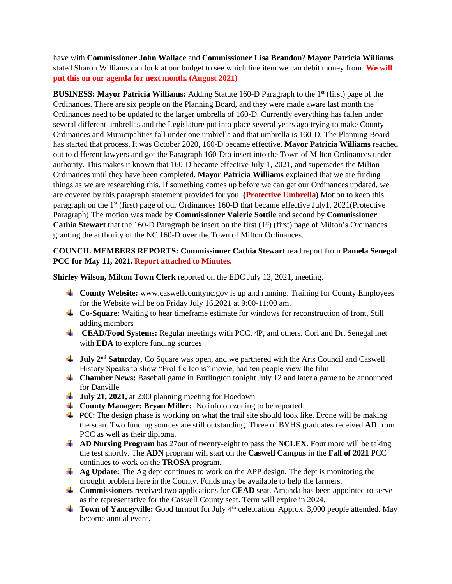have with **Commissioner John Wallace** and **Commissioner Lisa Brandon**? **Mayor Patricia Williams** stated Sharon Williams can look at our budget to see which line item we can debit money from. **We will put this on our agenda for next month. (August 2021)**

**BUSINESS: Mayor Patricia Williams:** Adding Statute 160-D Paragraph to the 1st (first) page of the Ordinances. There are six people on the Planning Board, and they were made aware last month the Ordinances need to be updated to the larger umbrella of 160-D. Currently everything has fallen under several different umbrellas and the Legislature put into place several years ago trying to make County Ordinances and Municipalities fall under one umbrella and that umbrella is 160-D. The Planning Board has started that process. It was October 2020, 160-D became effective. **Mayor Patricia Williams** reached out to different lawyers and got the Paragraph 160-Dto insert into the Town of Milton Ordinances under authority. This makes it known that 160-D became effective July 1, 2021, and supersedes the Milton Ordinances until they have been completed. **Mayor Patricia Williams** explained that we are finding things as we are researching this. If something comes up before we can get our Ordinances updated, we are covered by this paragraph statement provided for you. **(Protective Umbrella)** Motion to keep this paragraph on the 1<sup>st</sup> (first) page of our Ordinances 160-D that became effective July1, 2021(Protective Paragraph) The motion was made by **Commissioner Valerie Sottile** and second by **Commissioner Cathia Stewart** that the 160-D Paragraph be insert on the first  $(1<sup>st</sup>)$  (first) page of Milton's Ordinances granting the authority of the NC 160-D over the Town of Milton Ordinances.

# **COUNCIL MEMBERS REPORTS: Commissioner Cathia Stewart** read report from **Pamela Senegal PCC for May 11, 2021. Report attached to Minutes.**

**Shirley Wilson, Milton Town Clerk** reported on the EDC July 12, 2021, meeting.

- **County Website:** www.caswellcountync.gov is up and running. Training for County Employees for the Website will be on Friday July 16,2021 at 9:00-11:00 am.
- **Co-Square:** Waiting to hear timeframe estimate for windows for reconstruction of front, Still adding members
- **CEAD/Food Systems:** Regular meetings with PCC, 4P, and others. Cori and Dr. Senegal met with **EDA** to explore funding sources
- $\frac{1}{\sqrt{2}}$  **July 2<sup>nd</sup> Saturday,** Co Square was open, and we partnered with the Arts Council and Caswell History Speaks to show "Prolific Icons" movie, had ten people view the film
- **↓ Chamber News:** Baseball game in Burlington tonight July 12 and later a game to be announced for Danville
- $\frac{1}{2}$  July 21, 2021, at 2:00 planning meeting for Hoedown
- **County Manager: Bryan Miller:** No info on zoning to be reported
- **PCC:** The design phase is working on what the trail site should look like. Drone will be making the scan. Two funding sources are still outstanding. Three of BYHS graduates received **AD** from PCC as well as their diploma.
- **AD Nursing Program** has 27out of twenty-eight to pass the **NCLEX**. Four more will be taking the test shortly. The **ADN** program will start on the **Caswell Campus** in the **Fall of 2021** PCC continues to work on the **TROSA** program.
- **Ag Update:** The Ag dept continues to work on the APP design. The dept is monitoring the drought problem here in the County. Funds may be available to help the farmers.
- **Commissioners** received two applications for **CEAD** seat. Amanda has been appointed to serve as the representative for the Caswell County seat. Term will expire in 2024.
- **Town of Yanceyville:** Good turnout for July 4<sup>th</sup> celebration. Approx. 3,000 people attended. May become annual event.